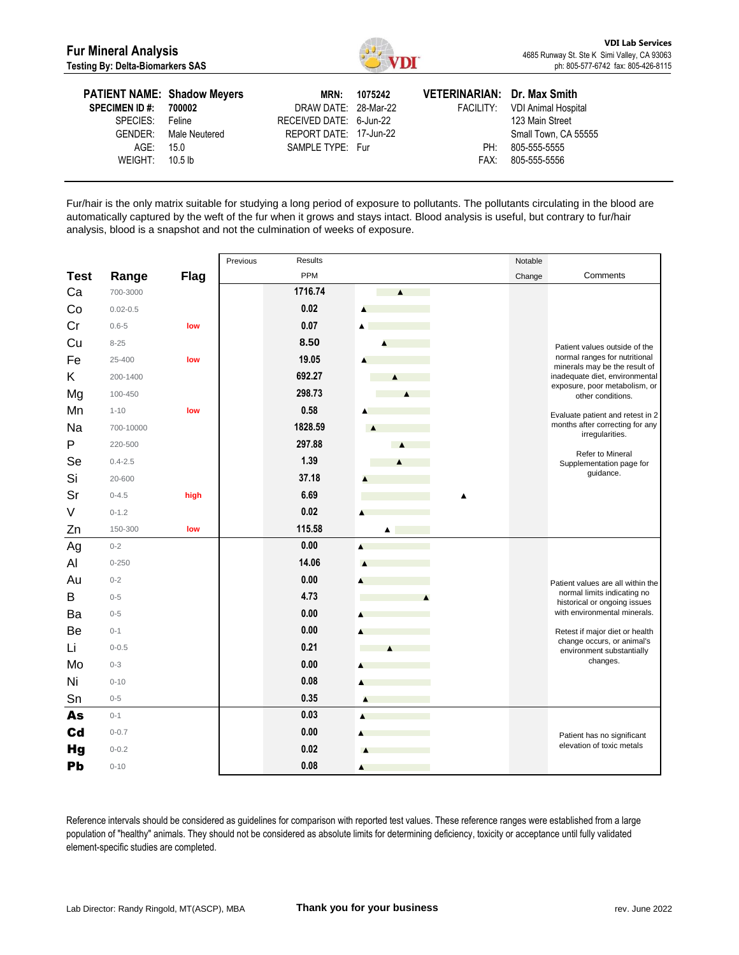

| <b>PATIENT NAME: Shadow Meyers</b><br><b>SPECIMEN ID #: 700002</b><br>SPECIES: Feline | GENDER: Male Neutered | DRAW DATE: 28-Mar-22<br>RECEIVED DATE: 6-Jun-22<br>REPORT DATE: 17-Jun-22 | MRN: 1075242 | VETERINARIAN: Dr. Max Smith | FACILITY: VDI Animal Hospital<br>123 Main Street<br>Small Town, CA 55555 |
|---------------------------------------------------------------------------------------|-----------------------|---------------------------------------------------------------------------|--------------|-----------------------------|--------------------------------------------------------------------------|
| AGE:                                                                                  | 15.0                  | SAMPLE TYPE: Fur                                                          |              | PH:                         | 805-555-5555                                                             |
| WEIGHT: $10.5 \text{ lb}$                                                             |                       |                                                                           |              | FAX:                        | 805-555-5556                                                             |

Fur/hair is the only matrix suitable for studying a long period of exposure to pollutants. The pollutants circulating in the blood are automatically captured by the weft of the fur when it grows and stays intact. Blood analysis is useful, but contrary to fur/hair analysis, blood is a snapshot and not the culmination of weeks of exposure.

|             |              |             | <b>Results</b><br>Previous |                  | Notable |                                                                |
|-------------|--------------|-------------|----------------------------|------------------|---------|----------------------------------------------------------------|
| <b>Test</b> | Range        | <b>Flag</b> | PPM                        |                  | Change  | Comments                                                       |
| Ca          | 700-3000     |             | 1716.74                    | $\blacktriangle$ |         |                                                                |
| Co          | $0.02 - 0.5$ |             | 0.02                       | ▲                |         |                                                                |
| Cr          | $0.6 - 5$    | low         | 0.07                       | $\blacktriangle$ |         |                                                                |
| Cu          | $8 - 25$     |             | 8.50                       |                  |         | Patient values outside of the                                  |
| Fe          | 25-400       | low         | 19.05                      |                  |         | normal ranges for nutritional<br>minerals may be the result of |
| Κ           | 200-1400     |             | 692.27                     | $\blacktriangle$ |         | inadequate diet, environmental                                 |
| Mg          | 100-450      |             | 298.73                     | $\blacktriangle$ |         | exposure, poor metabolism, or<br>other conditions.             |
| Mn          | $1 - 10$     | low         | 0.58                       |                  |         | Evaluate patient and retest in 2                               |
| Na          | 700-10000    |             | 1828.59                    | $\blacktriangle$ |         | months after correcting for any<br>irregularities.             |
| P           | 220-500      |             | 297.88                     | $\blacktriangle$ |         |                                                                |
| Se          | $0.4 - 2.5$  |             | 1.39                       | $\blacktriangle$ |         | Refer to Mineral<br>Supplementation page for                   |
| Si          | 20-600       |             | 37.18                      |                  |         | guidance.                                                      |
| Sr          | $0 - 4.5$    | high        | 6.69                       |                  |         |                                                                |
| V           | $0 - 1.2$    |             | 0.02                       |                  |         |                                                                |
| Zn          | 150-300      | low         | 115.58                     | $\blacktriangle$ |         |                                                                |
| Ag          | $0 - 2$      |             | 0.00                       | A                |         |                                                                |
| Al          | $0 - 250$    |             | 14.06                      |                  |         |                                                                |
| Au          | $0 - 2$      |             | 0.00                       |                  |         | Patient values are all within the                              |
| В           | $0 - 5$      |             | 4.73                       |                  |         | normal limits indicating no<br>historical or ongoing issues    |
| Ba          | $0 - 5$      |             | 0.00                       |                  |         | with environmental minerals.                                   |
| Be          | $0 - 1$      |             | 0.00                       |                  |         | Retest if major diet or health                                 |
| Li          | $0 - 0.5$    |             | 0.21                       | $\blacktriangle$ |         | change occurs, or animal's<br>environment substantially        |
| Mo          | $0 - 3$      |             | 0.00                       |                  |         | changes.                                                       |
| Ni          | $0 - 10$     |             | 0.08                       |                  |         |                                                                |
| Sn          | $0 - 5$      |             | 0.35                       | A                |         |                                                                |
| As          | $0 - 1$      |             | 0.03                       |                  |         |                                                                |
| Cd          | $0 - 0.7$    |             | 0.00                       |                  |         | Patient has no significant                                     |
| <b>Hg</b>   | $0 - 0.2$    |             | 0.02                       |                  |         | elevation of toxic metals                                      |
| Pb          | $0 - 10$     |             | 0.08                       | ▲                |         |                                                                |

Reference intervals should be considered as guidelines for comparison with reported test values. These reference ranges were established from a large population of "healthy" animals. They should not be considered as absolute limits for determining deficiency, toxicity or acceptance until fully validated element-specific studies are completed.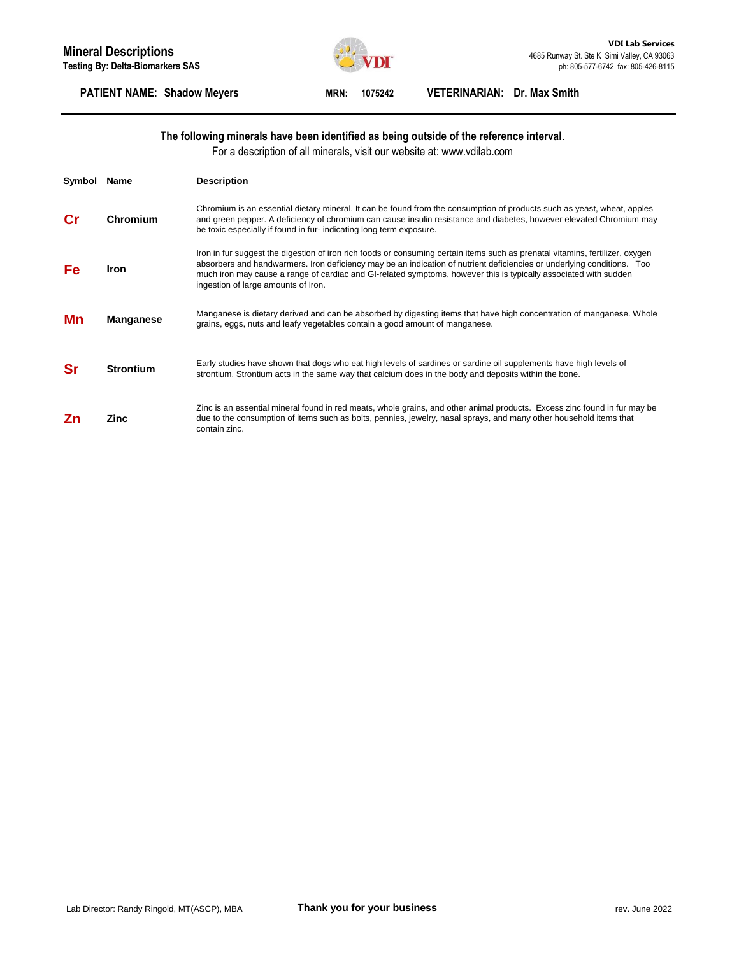

# **PATIENT NAME: Shadow Meyers MRN: 1075242 VETERINARIAN: Dr. Max Smith**

## **The following minerals have been identified as being outside of the reference interval**.

For a description of all minerals, visit our website at: www.vdilab.com

| Symbol | Name             | <b>Description</b>                                                                                                                                                                                                                                                                                                                                                                                                 |
|--------|------------------|--------------------------------------------------------------------------------------------------------------------------------------------------------------------------------------------------------------------------------------------------------------------------------------------------------------------------------------------------------------------------------------------------------------------|
|        | Chromium         | Chromium is an essential dietary mineral. It can be found from the consumption of products such as yeast, wheat, apples<br>and green pepper. A deficiency of chromium can cause insulin resistance and diabetes, however elevated Chromium may<br>be toxic especially if found in fur- indicating long term exposure.                                                                                              |
| Fe     | <b>Iron</b>      | Iron in fur suggest the digestion of iron rich foods or consuming certain items such as prenatal vitamins, fertilizer, oxygen<br>absorbers and handwarmers. Iron deficiency may be an indication of nutrient deficiencies or underlying conditions. Too<br>much iron may cause a range of cardiac and GI-related symptoms, however this is typically associated with sudden<br>ingestion of large amounts of Iron. |
| Mn     | <b>Manganese</b> | Manganese is dietary derived and can be absorbed by digesting items that have high concentration of manganese. Whole<br>grains, eggs, nuts and leafy vegetables contain a good amount of manganese.                                                                                                                                                                                                                |
| Sr     | <b>Strontium</b> | Early studies have shown that dogs who eat high levels of sardines or sardine oil supplements have high levels of<br>strontium. Strontium acts in the same way that calcium does in the body and deposits within the bone.                                                                                                                                                                                         |
| Ζn     | Zinc             | Zinc is an essential mineral found in red meats, whole grains, and other animal products. Excess zinc found in fur may be<br>due to the consumption of items such as bolts, pennies, jewelry, nasal sprays, and many other household items that<br>contain zinc.                                                                                                                                                   |